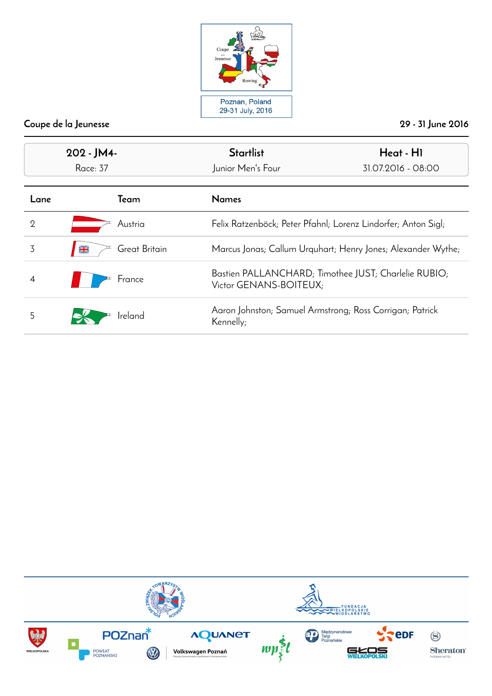

| 202 - JM4-<br>Race: 37 |                                | <b>Startlist</b><br>Junior Men's Four                                          | Heat - HI<br>31.07.2016 - 08:00                               |  |
|------------------------|--------------------------------|--------------------------------------------------------------------------------|---------------------------------------------------------------|--|
| Lane                   | Team                           | <b>Names</b>                                                                   |                                                               |  |
| $\overline{2}$         | Austria                        |                                                                                | Felix Ratzenböck; Peter Pfahnl; Lorenz Lindorfer; Anton Sigl; |  |
| 3                      | $\frac{N}{2}$<br>Great Britain |                                                                                | Marcus Jonas; Callum Urquhart; Henry Jones; Alexander Wythe;  |  |
| 4                      | France                         | Bastien PALLANCHARD; Timothee JUST; Charlelie RUBIO;<br>Victor GENANS-BOITEUX; |                                                               |  |
| 5                      | Ireland                        | Aaron Johnston; Samuel Armstrong; Ross Corrigan; Patrick<br>Kennelly;          |                                                               |  |

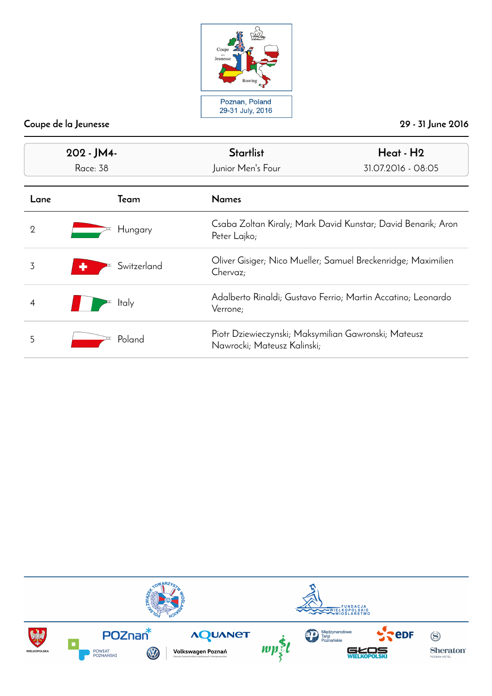

| 202 - JM4-<br>Race: 38 |              | <b>Startlist</b><br>Junior Men's Four                                               | Heat - H2<br>31.07.2016 - 08:05                               |
|------------------------|--------------|-------------------------------------------------------------------------------------|---------------------------------------------------------------|
| Lane                   | Team         | <b>Names</b>                                                                        |                                                               |
| $\overline{2}$         | Hungary      | Peter Lajko;                                                                        | Csaba Zoltan Kiraly; Mark David Kunstar; David Benarik; Aron  |
| 3                      | Switzerland  | Chervaz;                                                                            | Oliver Gisiger; Nico Mueller; Samuel Breckenridge; Maximilien |
|                        | <b>Italy</b> | Verrone;                                                                            | Adalberto Rinaldi; Gustavo Ferrio; Martin Accatino; Leonardo  |
| 5                      | Poland       | Piotr Dziewieczynski; Maksymilian Gawronski; Mateusz<br>Nawrocki; Mateusz Kalinski; |                                                               |

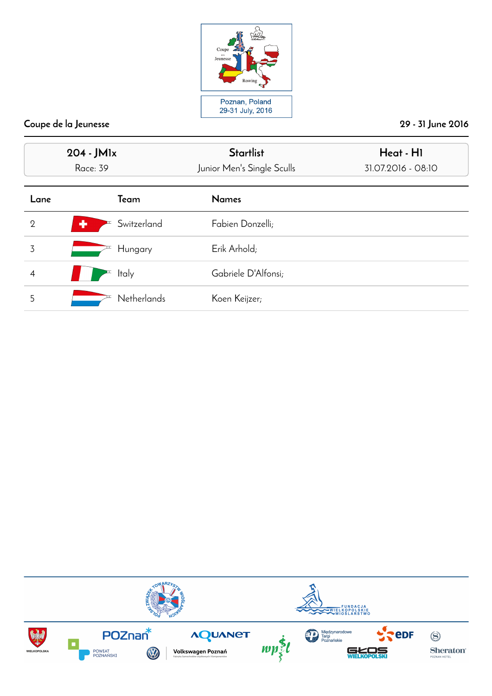

|                | 204 - JM1x<br><b>Race: 39</b> | <b>Startlist</b><br>Junior Men's Single Sculls | Heat - HI<br>31.07.2016 - 08:10 |
|----------------|-------------------------------|------------------------------------------------|---------------------------------|
| Lane           | Team                          | <b>Names</b>                                   |                                 |
| $\overline{2}$ | ٠<br>Switzerland              | Fabien Donzelli;                               |                                 |
| 3              | Hungary                       | Erik Arhold;                                   |                                 |
| $\overline{4}$ | <b>Italy</b>                  | Gabriele D'Alfonsi;                            |                                 |
| 5              | <b>Netherlands</b>            | Koen Keijzer;                                  |                                 |

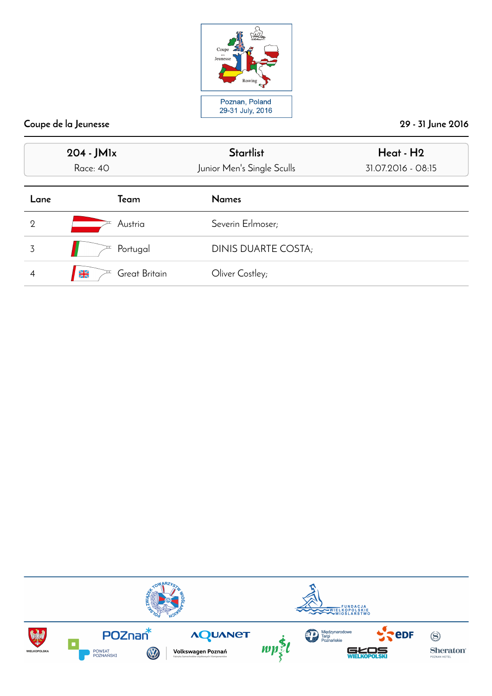

|                | 204 - JM <sub>lx</sub><br>Race: 40 | <b>Startlist</b><br>Junior Men's Single Sculls | Heat - H <sub>2</sub><br>31.07.2016 - 08:15 |
|----------------|------------------------------------|------------------------------------------------|---------------------------------------------|
| Lane           | Team                               | <b>Names</b>                                   |                                             |
| $\overline{2}$ | Austria                            | Severin Erlmoser;                              |                                             |
| 3              | Portugal                           | DINIS DUARTE COSTA;                            |                                             |
|                | Great Britain<br>$\frac{N}{2}$     | Oliver Costley;                                |                                             |

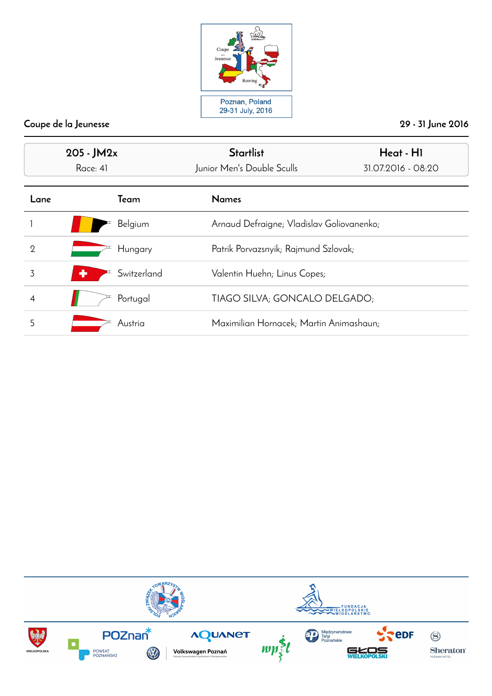

| $205 - JM2x$<br>Race: 41 |                  | <b>Startlist</b><br>Junior Men's Double Sculls | Heat - HI<br>31.07.2016 - 08:20           |  |
|--------------------------|------------------|------------------------------------------------|-------------------------------------------|--|
| Lane                     | Team             | <b>Names</b>                                   |                                           |  |
|                          | Belgium          |                                                | Arnaud Defraigne; Vladislav Goliovanenko; |  |
| $\overline{2}$           | Hungary          | Patrik Porvazsnyik; Rajmund Szlovak;           |                                           |  |
| 3                        | Switzerland<br>٠ | Valentin Huehn; Linus Copes;                   |                                           |  |
|                          | Portugal         | TIAGO SILVA; GONCALO DELGADO;                  |                                           |  |
| 5                        | Austria          | Maximilian Hornacek; Martin Animashaun;        |                                           |  |

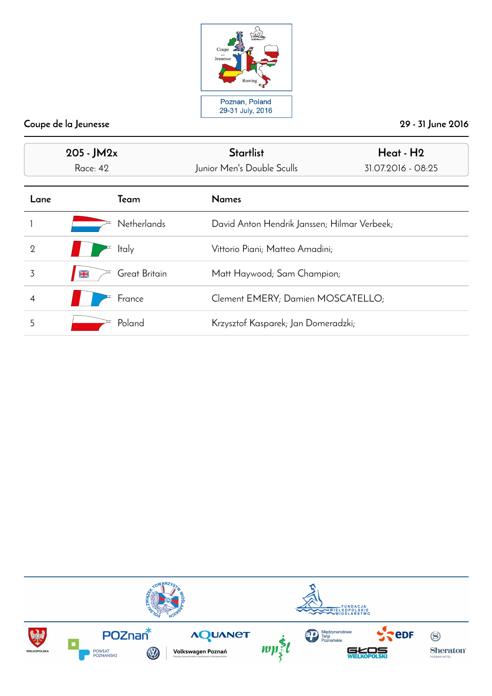

| $205 - JM2x$<br><b>Race: 42</b> |                                | <b>Startlist</b><br>Junior Men's Double Sculls | Heat - H <sub>2</sub><br>31.07.2016 - 08:25 |
|---------------------------------|--------------------------------|------------------------------------------------|---------------------------------------------|
| Lane                            | Team                           | <b>Names</b>                                   |                                             |
|                                 | <b>Netherlands</b>             | David Anton Hendrik Janssen; Hilmar Verbeek;   |                                             |
| $\overline{2}$                  | <b>Italy</b>                   | Vittorio Piani; Matteo Amadini;                |                                             |
| 3                               | Great Britain<br>$\frac{N}{2}$ | Matt Haywood; Sam Champion;                    |                                             |
|                                 | France                         | Clement EMERY; Damien MOSCATELLO;              |                                             |
| 5                               | Poland                         | Krzysztof Kasparek; Jan Domeradzki;            |                                             |

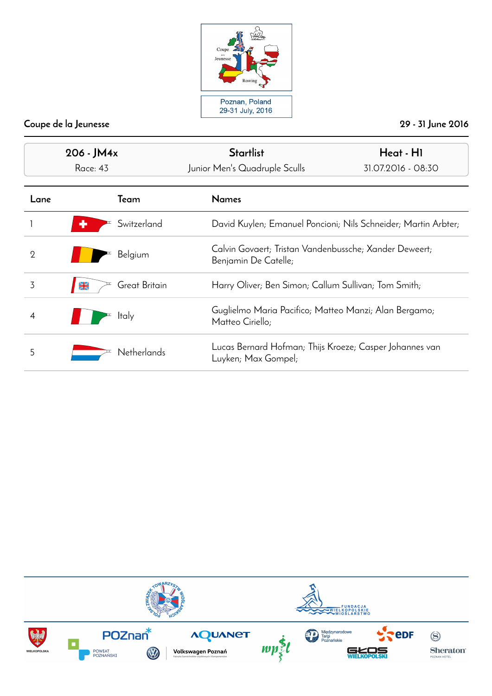

| 206 - JM4x<br><b>Race: 43</b> |                                | <b>Startlist</b><br>Junior Men's Quadruple Sculls                              | Heat - H1<br>31.07.2016 - 08:30                                |  |
|-------------------------------|--------------------------------|--------------------------------------------------------------------------------|----------------------------------------------------------------|--|
| Lane                          | Team                           | <b>Names</b>                                                                   |                                                                |  |
|                               | Switzerland                    |                                                                                | David Kuylen; Emanuel Poncioni; Nils Schneider; Martin Arbter; |  |
| $\overline{2}$                | Belgium                        | Benjamin De Catelle;                                                           | Calvin Govaert; Tristan Vandenbussche; Xander Deweert;         |  |
| 3                             | Great Britain<br>$\frac{N}{2}$ |                                                                                | Harry Oliver; Ben Simon; Callum Sullivan; Tom Smith;           |  |
| 4                             | <b>Italy</b>                   | Guglielmo Maria Pacifico; Matteo Manzi; Alan Bergamo;<br>Matteo Ciriello;      |                                                                |  |
| 5                             | <b>Netherlands</b>             | Lucas Bernard Hofman; Thijs Kroeze; Casper Johannes van<br>Luyken; Max Gompel; |                                                                |  |

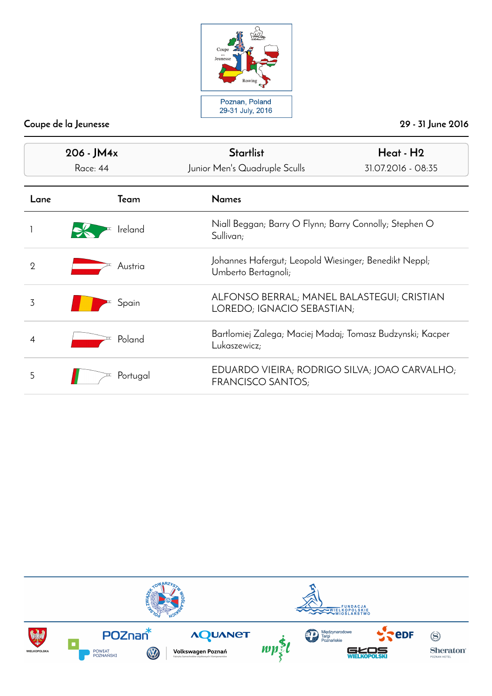

| 206 - JM4x<br>Race: 44 |          | <b>Startlist</b><br>Junior Men's Quadruple Sculls                         | Heat - H <sub>2</sub><br>31.07.2016 - 08:35                              |  |
|------------------------|----------|---------------------------------------------------------------------------|--------------------------------------------------------------------------|--|
| Lane                   | Team     | <b>Names</b>                                                              |                                                                          |  |
|                        | Ireland  | Sullivan;                                                                 | Niall Beggan; Barry O Flynn; Barry Connolly; Stephen O                   |  |
| $\overline{2}$         | Austria  | Umberto Bertagnoli;                                                       | Johannes Hafergut; Leopold Wiesinger; Benedikt Neppl;                    |  |
| 3                      | Spain    |                                                                           | ALFONSO BERRAL; MANEL BALASTEGUI; CRISTIAN<br>LOREDO; IGNACIO SEBASTIAN; |  |
| 4                      | Poland   | Bartlomiej Zalega; Maciej Madaj; Tomasz Budzynski; Kacper<br>Lukaszewicz; |                                                                          |  |
| 5                      | Portugal | EDUARDO VIEIRA; RODRIGO SILVA; JOAO CARVALHO;<br><b>FRANCISCO SANTOS;</b> |                                                                          |  |

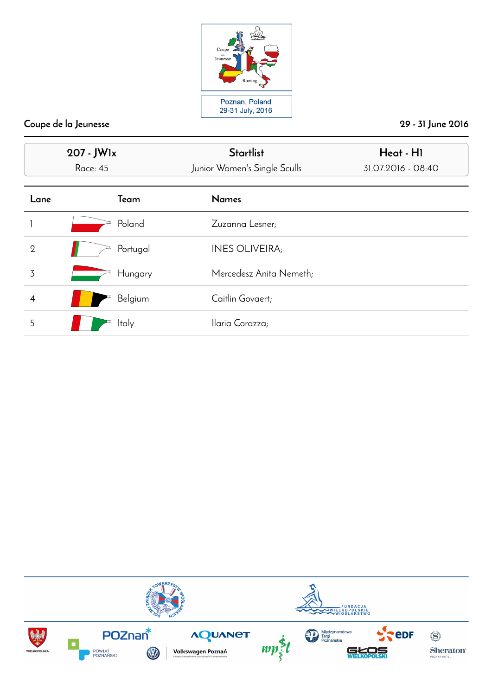

|                | 207 - JWlx<br><b>Race: 45</b> | <b>Startlist</b><br>Junior Women's Single Sculls | Heat - HI<br>31.07.2016 - 08:40 |
|----------------|-------------------------------|--------------------------------------------------|---------------------------------|
| Lane           | Team                          | <b>Names</b>                                     |                                 |
|                | Poland                        | Zuzanna Lesner;                                  |                                 |
| $\overline{2}$ | Portugal                      | <b>INES OLIVEIRA;</b>                            |                                 |
| 3              | Hungary                       | Mercedesz Anita Nemeth;                          |                                 |
| $\overline{4}$ | Belgium                       | Caitlin Govaert;                                 |                                 |
| 5              | <b>Italy</b>                  | Ilaria Corazza;                                  |                                 |

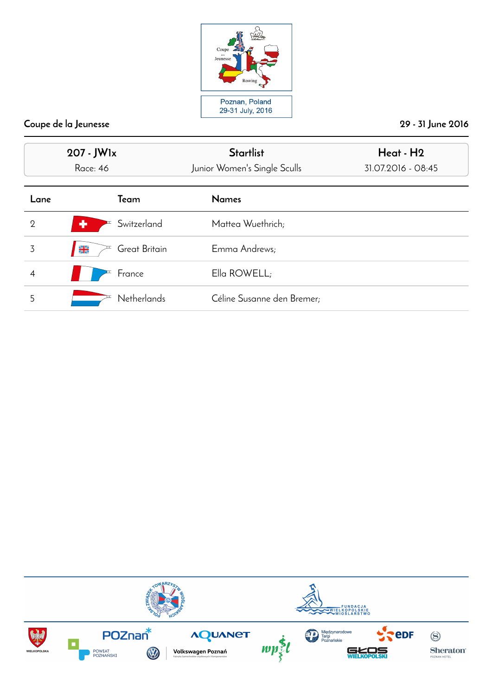

|                | 207 - JWlx<br><b>Race: 46</b>   | <b>Startlist</b><br>Junior Women's Single Sculls | Heat - H2<br>31.07.2016 - 08:45 |
|----------------|---------------------------------|--------------------------------------------------|---------------------------------|
| Lane           | Team                            | <b>Names</b>                                     |                                 |
| $\overline{2}$ | ٠<br>Switzerland                | Mattea Wuethrich;                                |                                 |
| 3              | Great Britain<br>$\frac{N}{ZN}$ | Emma Andrews;                                    |                                 |
| 4              | France                          | Ella ROWELL;                                     |                                 |
| 5              | <b>Netherlands</b>              | Céline Susanne den Bremer;                       |                                 |

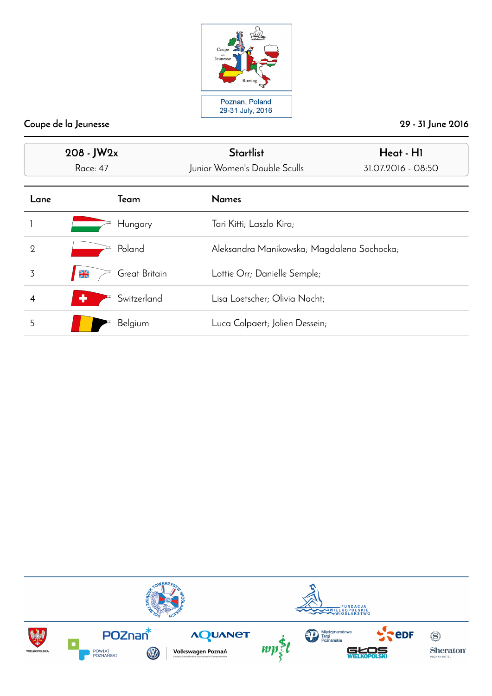

| $208 - JW2x$<br><b>Race: 47</b> |                                | <b>Startlist</b><br>Junior Women's Double Sculls | Heat - HI<br>31.07.2016 - 08:50 |
|---------------------------------|--------------------------------|--------------------------------------------------|---------------------------------|
| Lane                            | Team                           | <b>Names</b>                                     |                                 |
|                                 | Hungary                        | Tari Kitti; Laszlo Kira;                         |                                 |
| $\overline{2}$                  | Poland                         | Aleksandra Manikowska; Magdalena Sochocka;       |                                 |
| 3                               | Great Britain<br>$\frac{N}{2}$ | Lottie Orr; Danielle Semple;                     |                                 |
|                                 | Switzerland<br>٠               | Lisa Loetscher; Olivia Nacht;                    |                                 |
| 5                               | Belgium                        | Luca Colpaert; Jolien Dessein;                   |                                 |

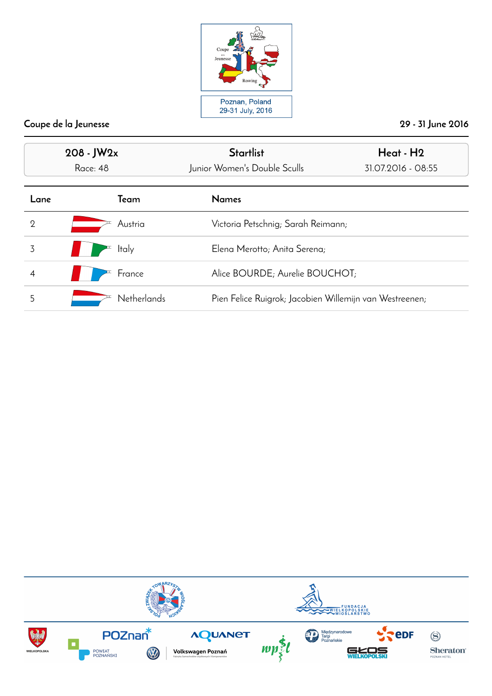

| $208 - JW2x$<br>Race: 48 |                    | <b>Startlist</b><br>Junior Women's Double Sculls | Heat - H2<br>31.07.2016 - 08:55                         |  |
|--------------------------|--------------------|--------------------------------------------------|---------------------------------------------------------|--|
| Lane                     | Team               | <b>Names</b>                                     |                                                         |  |
| $\overline{2}$           | Austria            |                                                  | Victoria Petschnig; Sarah Reimann;                      |  |
| 3                        | <b>Italy</b>       | Elena Merotto; Anita Serena;                     |                                                         |  |
|                          | France             | Alice BOURDE; Aurelie BOUCHOT;                   |                                                         |  |
| 5                        | <b>Netherlands</b> |                                                  | Pien Felice Ruigrok; Jacobien Willemijn van Westreenen; |  |

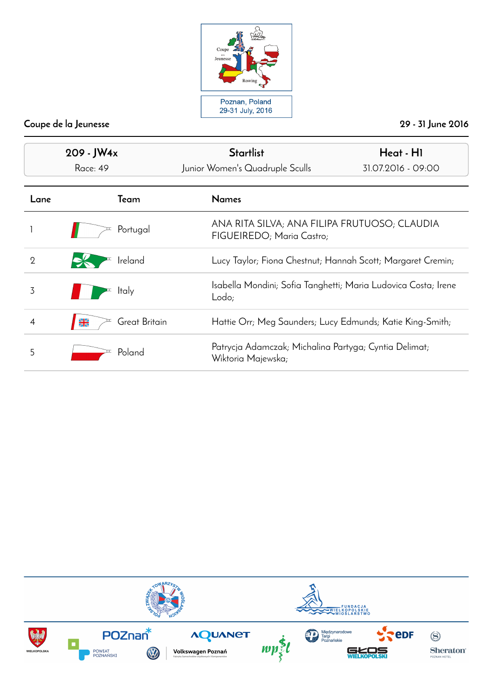

| 209 - JW4x<br>Race: 49 |                                | <b>Startlist</b><br>Junior Women's Quadruple Sculls                         | Heat - HI<br>31.07.2016 - 09:00                                |  |
|------------------------|--------------------------------|-----------------------------------------------------------------------------|----------------------------------------------------------------|--|
| Lane                   | Team                           | <b>Names</b>                                                                |                                                                |  |
|                        | Portugal                       | FIGUEIREDO; Maria Castro;                                                   | ANA RITA SILVA; ANA FILIPA FRUTUOSO; CLAUDIA                   |  |
| $\overline{2}$         | Ireland                        | Lucy Taylor; Fiona Chestnut; Hannah Scott; Margaret Cremin;                 |                                                                |  |
| 3                      | <b>Italy</b>                   | Lodo;                                                                       | Isabella Mondini; Sofia Tanghetti; Maria Ludovica Costa; Irene |  |
| 4                      | Great Britain<br>$\frac{N}{2}$ |                                                                             | Hattie Orr; Meg Saunders; Lucy Edmunds; Katie King-Smith;      |  |
| 5                      | Poland                         | Patrycja Adamczak; Michalina Partyga; Cyntia Delimat;<br>Wiktoria Majewska; |                                                                |  |

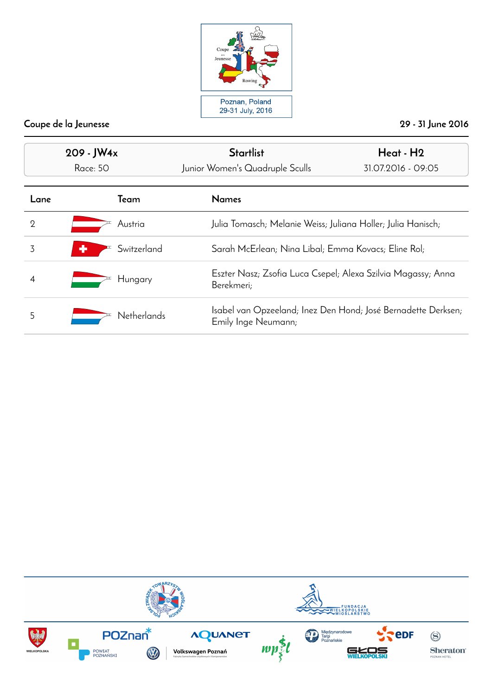

| 209 - JW4x<br><b>Race: 50</b> |                    | <b>Startlist</b><br>Junior Women's Quadruple Sculls                                  | Heat - H <sub>2</sub><br>31.07.2016 - 09:05                  |  |
|-------------------------------|--------------------|--------------------------------------------------------------------------------------|--------------------------------------------------------------|--|
| Lane                          | Team               | <b>Names</b>                                                                         |                                                              |  |
| $\overline{2}$                | Austria            | Julia Tomasch; Melanie Weiss; Juliana Holler; Julia Hanisch;                         |                                                              |  |
| 3                             | Switzerland<br>÷   | Sarah McErlean; Nina Libal; Emma Kovacs; Eline Rol;                                  |                                                              |  |
| 4                             | Hungary            | Berekmeri;                                                                           | Eszter Nasz; Zsofia Luca Csepel; Alexa Szilvia Magassy; Anna |  |
| 5                             | <b>Netherlands</b> | Isabel van Opzeeland; Inez Den Hond; José Bernadette Derksen;<br>Emily Inge Neumann; |                                                              |  |

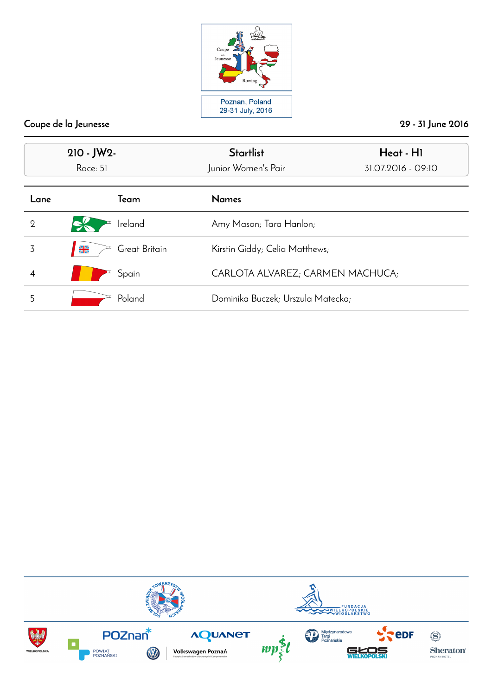

| $210 - JW2$<br>Race: 51 |                                | <b>Startlist</b><br>Junior Women's Pair | Heat - HI<br>31.07.2016 - 09:10 |
|-------------------------|--------------------------------|-----------------------------------------|---------------------------------|
| Lane                    | Team                           | <b>Names</b>                            |                                 |
| $\overline{2}$          | Ireland                        | Amy Mason; Tara Hanlon;                 |                                 |
| 3                       | Great Britain<br>$\frac{N}{2}$ | Kirstin Giddy; Celia Matthews;          |                                 |
|                         | Spain                          | CARLOTA ALVAREZ; CARMEN MACHUCA;        |                                 |
| 5                       | Poland                         | Dominika Buczek; Urszula Matecka;       |                                 |